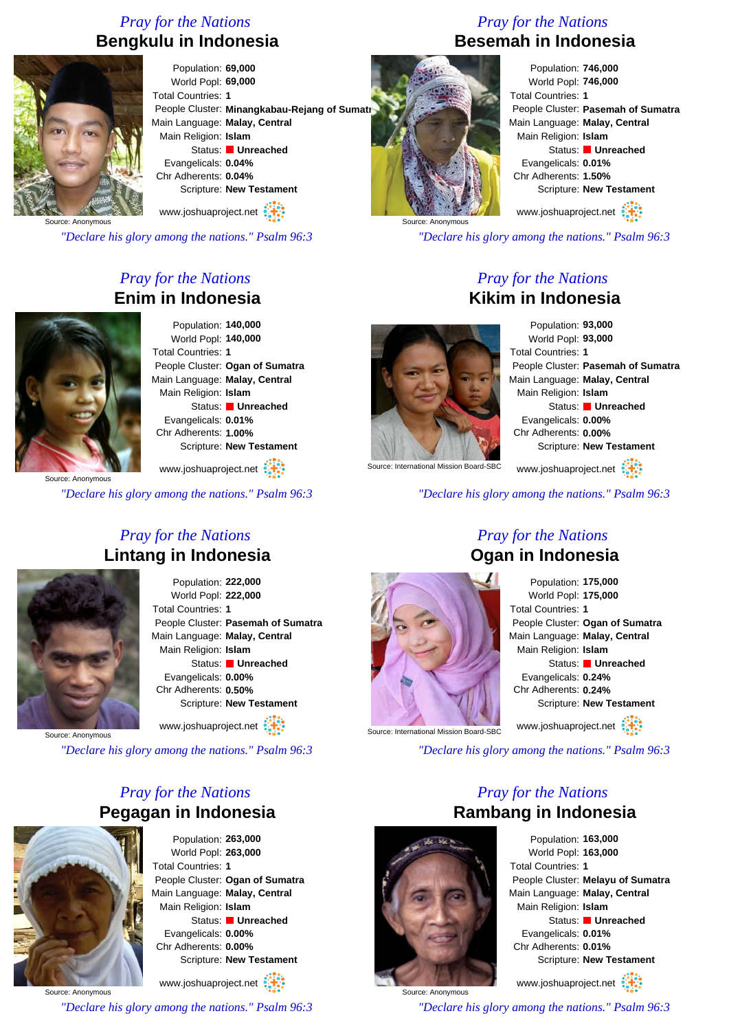# *Pray for the Nations* **Bengkulu in Indonesia**



Population: **69,000** World Popl: **69,000** Total Countries: **1** People Cluster: Minangkabau-Rejang of Sumatr Main Language: **Malay, Central** Main Religion: **Islam** Status: **Unreached** Evangelicals: **0.04%** Chr Adherents: **0.04%** Scripture: **New Testament**

www.joshuaproject.net

*"Declare his glory among the nations." Psalm 96:3*

# *Pray for the Nations* **Enim in Indonesia**



Population: **140,000** World Popl: **140,000** Total Countries: **1** People Cluster: **Ogan of Sumatra** Main Language: **Malay, Central** Main Religion: **Islam** Status: **Unreached** Evangelicals: **0.01%** Chr Adherents: **1.00%** Scripture: **New Testament**

Source: Anonymous www.joshuaproject.net

*"Declare his glory among the nations." Psalm 96:3*

### *Pray for the Nations* **Lintang in Indonesia**



Population: **222,000** World Popl: **222,000** Total Countries: **1** People Cluster: **Pasemah of Sumatra** Main Language: **Malay, Central** Main Religion: **Islam** Status: **Unreached** Evangelicals: **0.00%** Chr Adherents: **0.50%** Scripture: **New Testament** www.joshuaproject.net

Source: Anonymous

*"Declare his glory among the nations." Psalm 96:3*

## *Pray for the Nations* **Pegagan in Indonesia**



Source: Anonymous

Population: **263,000** World Popl: **263,000** Total Countries: **1** People Cluster: **Ogan of Sumatra** Main Language: **Malay, Central** Main Religion: **Islam** Status: **Unreached** Evangelicals: **0.00%** Chr Adherents: **0.00%** Scripture: **New Testament**

www.joshuaproject.net

*"Declare his glory among the nations." Psalm 96:3*

# *Pray for the Nations* **Besemah in Indonesia**

Population: **746,000** World Popl: **746,000** Total Countries: **1** People Cluster: **Pasemah of Sumatra** Main Language: **Malay, Central** Main Religion: **Islam** Status: **Unreached** Evangelicals: **0.01%** Chr Adherents: **1.50%** Scripture: **New Testament**

www.joshuaproject.net

*"Declare his glory among the nations." Psalm 96:3*

#### *Pray for the Nations* **Kikim in Indonesia**



Source: Anonymous

Population: **93,000** World Popl: **93,000** Total Countries: **1** People Cluster: **Pasemah of Sumatra** Main Language: **Malay, Central** Main Religion: **Islam** Status: **Unreached** Evangelicals: **0.00%** Chr Adherents: **0.00%** Scripture: **New Testament**

www.joshuaproject.net

*"Declare his glory among the nations." Psalm 96:3*



### *Pray for the Nations* **Ogan in Indonesia**

Population: **175,000** World Popl: **175,000** Total Countries: **1** People Cluster: **Ogan of Sumatra** Main Language: **Malay, Central** Main Religion: **Islam** Status: **Unreached** Evangelicals: **0.24%** Chr Adherents: **0.24%** Scripture: **New Testament** www.joshuaproject.net

*"Declare his glory among the nations." Psalm 96:3*

*Pray for the Nations*



Source: International Mission Board-SBC

Population: **163,000** World Popl: **163,000** Total Countries: **1** People Cluster: **Melayu of Sumatra** Main Language: **Malay, Central** Main Religion: **Islam** Status: **Unreached** Evangelicals: **0.01%** Chr Adherents: **0.01%** Scripture: **New Testament** www.joshuaproject.net

Source: Anonymous *"Declare his glory among the nations." Psalm 96:3*